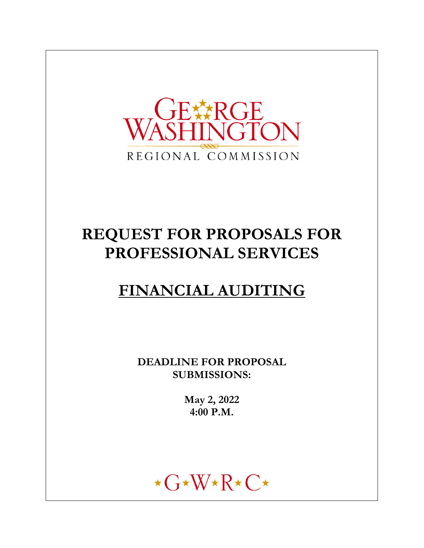

# **REQUEST FOR PROPOSALS FOR PROFESSIONAL SERVICES**

## **FINANCIAL AUDITING**

**DEADLINE FOR PROPOSAL SUBMISSIONS:** 

> **May 2, 2022 4:00 P.M.**

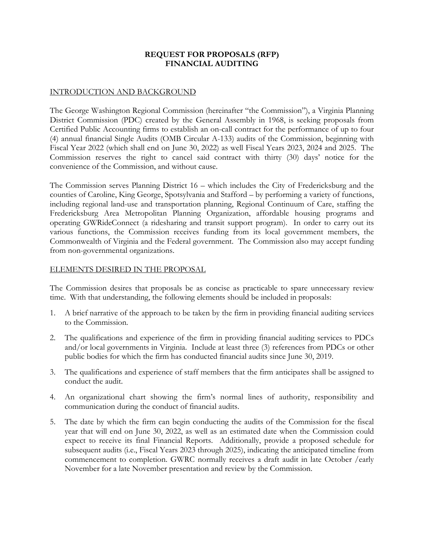### **REQUEST FOR PROPOSALS (RFP) FINANCIAL AUDITING**

#### INTRODUCTION AND BACKGROUND

The George Washington Regional Commission (hereinafter "the Commission"), a Virginia Planning District Commission (PDC) created by the General Assembly in 1968, is seeking proposals from Certified Public Accounting firms to establish an on-call contract for the performance of up to four (4) annual financial Single Audits (OMB Circular A-133) audits of the Commission, beginning with Fiscal Year 2022 (which shall end on June 30, 2022) as well Fiscal Years 2023, 2024 and 2025. The Commission reserves the right to cancel said contract with thirty (30) days' notice for the convenience of the Commission, and without cause.

The Commission serves Planning District 16 – which includes the City of Fredericksburg and the counties of Caroline, King George, Spotsylvania and Stafford – by performing a variety of functions, including regional land-use and transportation planning, Regional Continuum of Care, staffing the Fredericksburg Area Metropolitan Planning Organization, affordable housing programs and operating GWRideConnect (a ridesharing and transit support program). In order to carry out its various functions, the Commission receives funding from its local government members, the Commonwealth of Virginia and the Federal government. The Commission also may accept funding from non-governmental organizations.

#### ELEMENTS DESIRED IN THE PROPOSAL

The Commission desires that proposals be as concise as practicable to spare unnecessary review time. With that understanding, the following elements should be included in proposals:

- 1. A brief narrative of the approach to be taken by the firm in providing financial auditing services to the Commission.
- 2. The qualifications and experience of the firm in providing financial auditing services to PDCs and/or local governments in Virginia. Include at least three (3) references from PDCs or other public bodies for which the firm has conducted financial audits since June 30, 2019.
- 3. The qualifications and experience of staff members that the firm anticipates shall be assigned to conduct the audit.
- 4. An organizational chart showing the firm's normal lines of authority, responsibility and communication during the conduct of financial audits.
- 5. The date by which the firm can begin conducting the audits of the Commission for the fiscal year that will end on June 30, 2022, as well as an estimated date when the Commission could expect to receive its final Financial Reports. Additionally, provide a proposed schedule for subsequent audits (i.e., Fiscal Years 2023 through 2025), indicating the anticipated timeline from commencement to completion. GWRC normally receives a draft audit in late October /early November for a late November presentation and review by the Commission.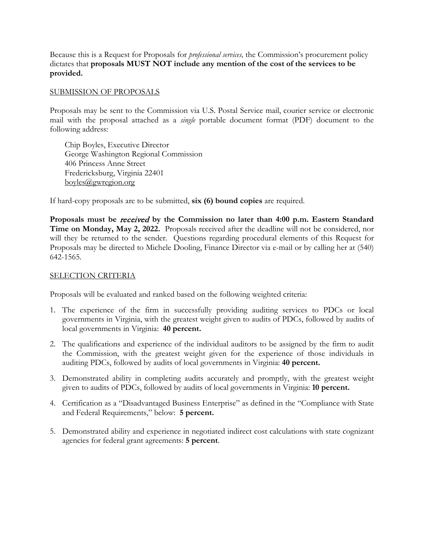Because this is a Request for Proposals for *professional services,* the Commission's procurement policy dictates that **proposals MUST NOT include any mention of the cost of the services to be provided.** 

#### SUBMISSION OF PROPOSALS

Proposals may be sent to the Commission via U.S. Postal Service mail, courier service or electronic mail with the proposal attached as a *single* portable document format (PDF) document to the following address:

 Chip Boyles, Executive Director George Washington Regional Commission 406 Princess Anne Street Fredericksburg, Virginia 22401 boyles@gwregion.org

If hard-copy proposals are to be submitted, **six (6) bound copies** are required.

**Proposals must be** received **by the Commission no later than 4:00 p.m. Eastern Standard Time on Monday, May 2, 2022.** Proposals received after the deadline will not be considered, nor will they be returned to the sender. Questions regarding procedural elements of this Request for Proposals may be directed to Michele Dooling, Finance Director via e-mail or by calling her at (540) 642-1565.

#### SELECTION CRITERIA

Proposals will be evaluated and ranked based on the following weighted criteria:

- 1. The experience of the firm in successfully providing auditing services to PDCs or local governments in Virginia, with the greatest weight given to audits of PDCs, followed by audits of local governments in Virginia: **40 percent.**
- 2. The qualifications and experience of the individual auditors to be assigned by the firm to audit the Commission, with the greatest weight given for the experience of those individuals in auditing PDCs, followed by audits of local governments in Virginia: **40 percent.**
- 3. Demonstrated ability in completing audits accurately and promptly, with the greatest weight given to audits of PDCs, followed by audits of local governments in Virginia: **10 percent.**
- 4. Certification as a "Disadvantaged Business Enterprise" as defined in the "Compliance with State and Federal Requirements," below: **5 percent.**
- 5. Demonstrated ability and experience in negotiated indirect cost calculations with state cognizant agencies for federal grant agreements: **5 percent**.